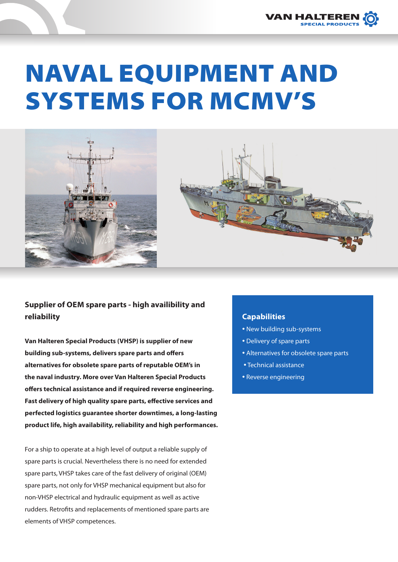

# NAVAL EQUIPMENT AND SYSTEMS FOR MCMV'S





# **Supplier of OEM spare parts - high availibility and reliability**

**Van Halteren Special Products (VHSP) is supplier of new building sub-systems, delivers spare parts and offers alternatives for obsolete spare parts of reputable OEM's in the naval industry. More over Van Halteren Special Products offers technical assistance and if required reverse engineering. Fast delivery of high quality spare parts, effective services and perfected logistics guarantee shorter downtimes, a long-lasting product life, high availability, reliability and high performances.**

For a ship to operate at a high level of output a reliable supply of spare parts is crucial. Nevertheless there is no need for extended spare parts, VHSP takes care of the fast delivery of original (OEM) spare parts, not only for VHSP mechanical equipment but also for non-VHSP electrical and hydraulic equipment as well as active rudders. Retrofits and replacements of mentioned spare parts are elements of VHSP competences.

## **Capabilities**

- New building sub-systems
- Delivery of spare parts
- Alternatives for obsolete spare parts
- Technical assistance
- Reverse engineering